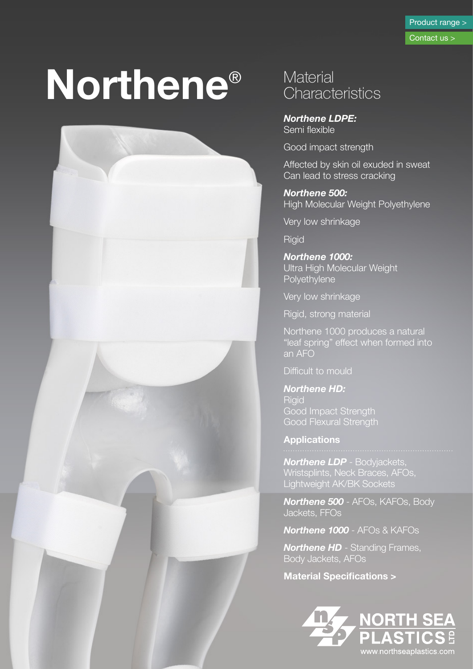# **Northene**®



### **Material Characteristics**

*Northene LDPE:*  Semi flexible

Good impact strength

Affected by skin oil exuded in sweat Can lead to stress cracking

*Northene 500:*  **High Molecular Weight Polyethylene** 

Very low shrinkage

**Rigid** 

*Northene 1000:*  Ultra High Molecular Weight **Polyethylene** 

Very low shrinkage

Rigid, strong material

Northene 1000 produces a natural "leaf spring" effect when formed into an AFO

Difficult to mould

*Northene HD:*  **Rigid** Good Impact Strength Good Flexural Strength

**Applications**

*Northene LDP* - Bodyjackets, Wristsplints, Neck Braces, AFOs, Lightweight AK/BK Sockets

*Northene 500* - AFOs, KAFOs, Body Jackets, FFOs

*Northene 1000* - AFOs & KAFOs

*Northene HD* - Standing Frames, Body Jackets, AFOs

**Material Specifications >**